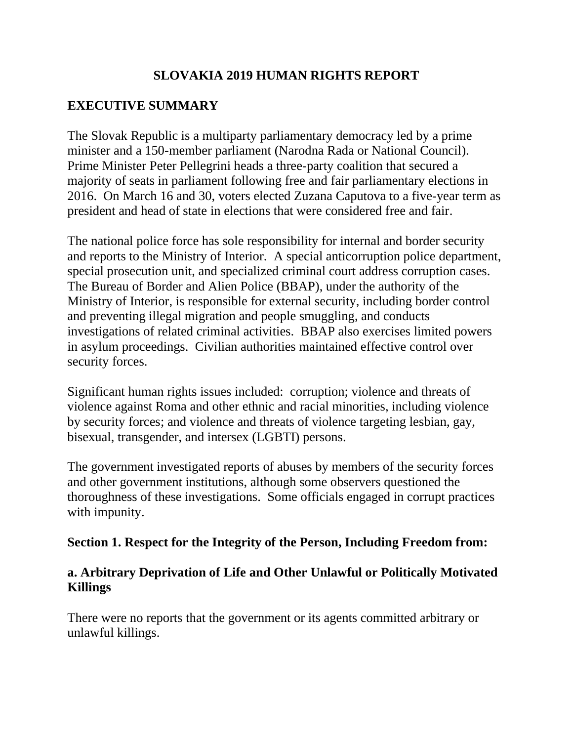# **SLOVAKIA 2019 HUMAN RIGHTS REPORT**

# **EXECUTIVE SUMMARY**

The Slovak Republic is a multiparty parliamentary democracy led by a prime minister and a 150-member parliament (Narodna Rada or National Council). Prime Minister Peter Pellegrini heads a three-party coalition that secured a majority of seats in parliament following free and fair parliamentary elections in 2016. On March 16 and 30, voters elected Zuzana Caputova to a five-year term as president and head of state in elections that were considered free and fair.

The national police force has sole responsibility for internal and border security and reports to the Ministry of Interior. A special anticorruption police department, special prosecution unit, and specialized criminal court address corruption cases. The Bureau of Border and Alien Police (BBAP), under the authority of the Ministry of Interior, is responsible for external security, including border control and preventing illegal migration and people smuggling, and conducts investigations of related criminal activities. BBAP also exercises limited powers in asylum proceedings. Civilian authorities maintained effective control over security forces.

Significant human rights issues included: corruption; violence and threats of violence against Roma and other ethnic and racial minorities, including violence by security forces; and violence and threats of violence targeting lesbian, gay, bisexual, transgender, and intersex (LGBTI) persons.

The government investigated reports of abuses by members of the security forces and other government institutions, although some observers questioned the thoroughness of these investigations. Some officials engaged in corrupt practices with impunity.

#### **Section 1. Respect for the Integrity of the Person, Including Freedom from:**

## **a. Arbitrary Deprivation of Life and Other Unlawful or Politically Motivated Killings**

There were no reports that the government or its agents committed arbitrary or unlawful killings.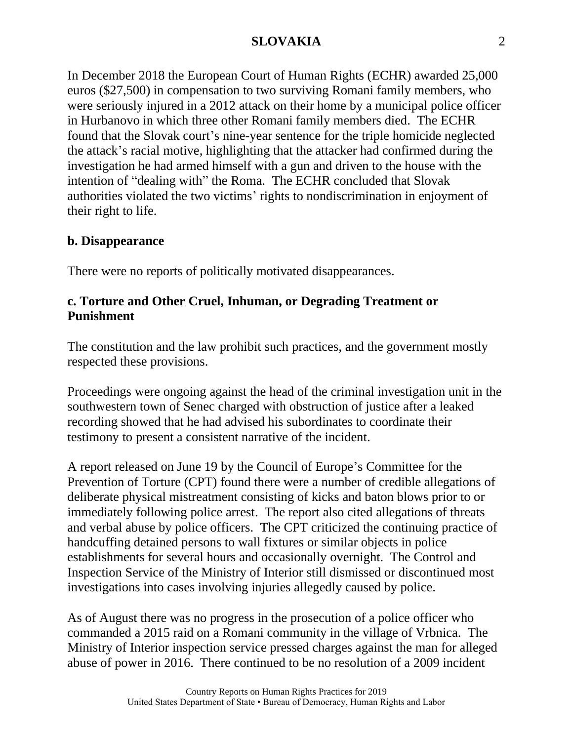In December 2018 the European Court of Human Rights (ECHR) awarded 25,000 euros (\$27,500) in compensation to two surviving Romani family members, who were seriously injured in a 2012 attack on their home by a municipal police officer in Hurbanovo in which three other Romani family members died. The ECHR found that the Slovak court's nine-year sentence for the triple homicide neglected the attack's racial motive, highlighting that the attacker had confirmed during the investigation he had armed himself with a gun and driven to the house with the intention of "dealing with" the Roma. The ECHR concluded that Slovak authorities violated the two victims' rights to nondiscrimination in enjoyment of their right to life.

## **b. Disappearance**

There were no reports of politically motivated disappearances.

# **c. Torture and Other Cruel, Inhuman, or Degrading Treatment or Punishment**

The constitution and the law prohibit such practices, and the government mostly respected these provisions.

Proceedings were ongoing against the head of the criminal investigation unit in the southwestern town of Senec charged with obstruction of justice after a leaked recording showed that he had advised his subordinates to coordinate their testimony to present a consistent narrative of the incident.

A report released on June 19 by the Council of Europe's Committee for the Prevention of Torture (CPT) found there were a number of credible allegations of deliberate physical mistreatment consisting of kicks and baton blows prior to or immediately following police arrest. The report also cited allegations of threats and verbal abuse by police officers. The CPT criticized the continuing practice of handcuffing detained persons to wall fixtures or similar objects in police establishments for several hours and occasionally overnight. The Control and Inspection Service of the Ministry of Interior still dismissed or discontinued most investigations into cases involving injuries allegedly caused by police.

As of August there was no progress in the prosecution of a police officer who commanded a 2015 raid on a Romani community in the village of Vrbnica. The Ministry of Interior inspection service pressed charges against the man for alleged abuse of power in 2016. There continued to be no resolution of a 2009 incident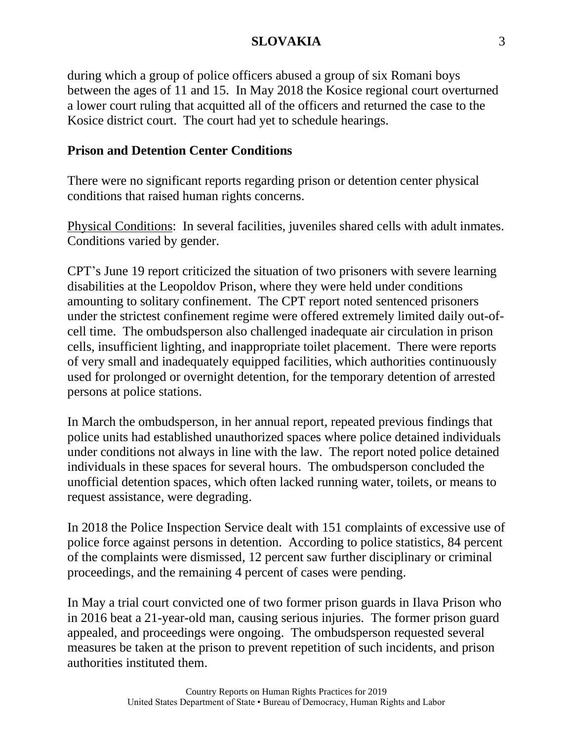during which a group of police officers abused a group of six Romani boys between the ages of 11 and 15. In May 2018 the Kosice regional court overturned a lower court ruling that acquitted all of the officers and returned the case to the Kosice district court. The court had yet to schedule hearings.

# **Prison and Detention Center Conditions**

There were no significant reports regarding prison or detention center physical conditions that raised human rights concerns.

Physical Conditions: In several facilities, juveniles shared cells with adult inmates. Conditions varied by gender.

CPT's June 19 report criticized the situation of two prisoners with severe learning disabilities at the Leopoldov Prison, where they were held under conditions amounting to solitary confinement. The CPT report noted sentenced prisoners under the strictest confinement regime were offered extremely limited daily out-ofcell time. The ombudsperson also challenged inadequate air circulation in prison cells, insufficient lighting, and inappropriate toilet placement. There were reports of very small and inadequately equipped facilities, which authorities continuously used for prolonged or overnight detention, for the temporary detention of arrested persons at police stations.

In March the ombudsperson, in her annual report, repeated previous findings that police units had established unauthorized spaces where police detained individuals under conditions not always in line with the law. The report noted police detained individuals in these spaces for several hours. The ombudsperson concluded the unofficial detention spaces, which often lacked running water, toilets, or means to request assistance, were degrading.

In 2018 the Police Inspection Service dealt with 151 complaints of excessive use of police force against persons in detention. According to police statistics, 84 percent of the complaints were dismissed, 12 percent saw further disciplinary or criminal proceedings, and the remaining 4 percent of cases were pending.

In May a trial court convicted one of two former prison guards in Ilava Prison who in 2016 beat a 21-year-old man, causing serious injuries. The former prison guard appealed, and proceedings were ongoing. The ombudsperson requested several measures be taken at the prison to prevent repetition of such incidents, and prison authorities instituted them.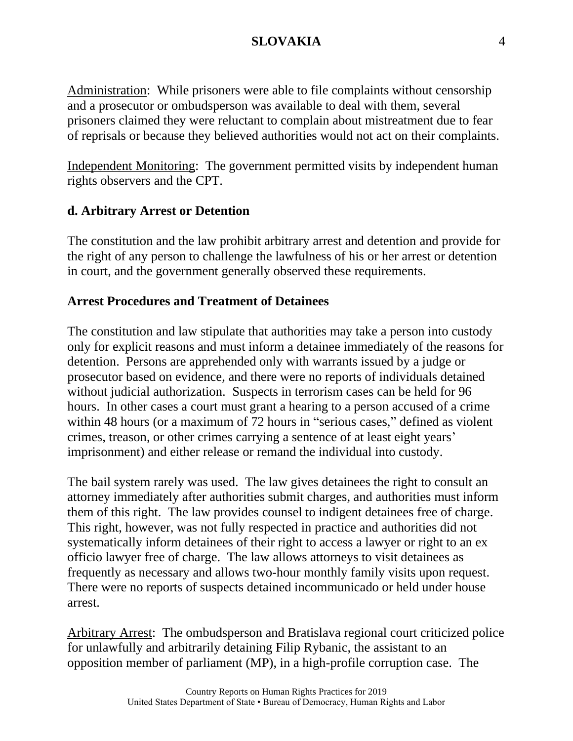Administration: While prisoners were able to file complaints without censorship and a prosecutor or ombudsperson was available to deal with them, several prisoners claimed they were reluctant to complain about mistreatment due to fear of reprisals or because they believed authorities would not act on their complaints.

Independent Monitoring: The government permitted visits by independent human rights observers and the CPT.

#### **d. Arbitrary Arrest or Detention**

The constitution and the law prohibit arbitrary arrest and detention and provide for the right of any person to challenge the lawfulness of his or her arrest or detention in court, and the government generally observed these requirements.

#### **Arrest Procedures and Treatment of Detainees**

The constitution and law stipulate that authorities may take a person into custody only for explicit reasons and must inform a detainee immediately of the reasons for detention. Persons are apprehended only with warrants issued by a judge or prosecutor based on evidence, and there were no reports of individuals detained without judicial authorization. Suspects in terrorism cases can be held for 96 hours. In other cases a court must grant a hearing to a person accused of a crime within 48 hours (or a maximum of 72 hours in "serious cases," defined as violent crimes, treason, or other crimes carrying a sentence of at least eight years' imprisonment) and either release or remand the individual into custody.

The bail system rarely was used. The law gives detainees the right to consult an attorney immediately after authorities submit charges, and authorities must inform them of this right. The law provides counsel to indigent detainees free of charge. This right, however, was not fully respected in practice and authorities did not systematically inform detainees of their right to access a lawyer or right to an ex officio lawyer free of charge. The law allows attorneys to visit detainees as frequently as necessary and allows two-hour monthly family visits upon request. There were no reports of suspects detained incommunicado or held under house arrest.

Arbitrary Arrest: The ombudsperson and Bratislava regional court criticized police for unlawfully and arbitrarily detaining Filip Rybanic, the assistant to an opposition member of parliament (MP), in a high-profile corruption case. The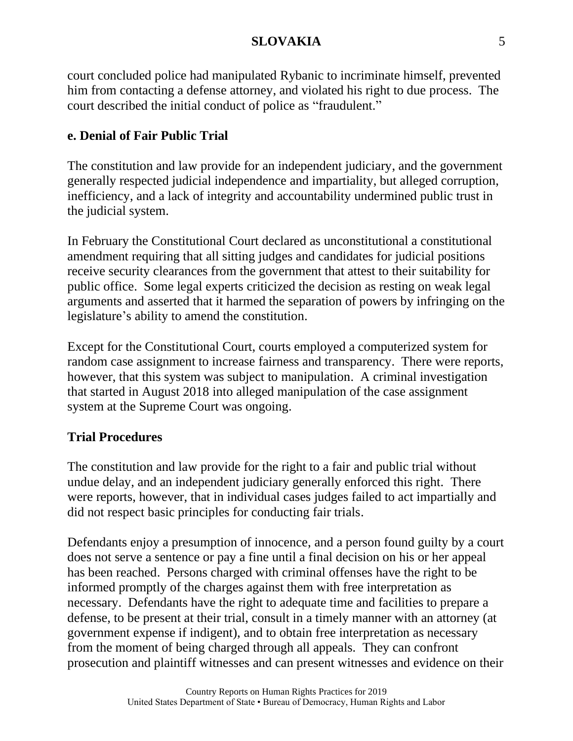court concluded police had manipulated Rybanic to incriminate himself, prevented him from contacting a defense attorney, and violated his right to due process. The court described the initial conduct of police as "fraudulent."

# **e. Denial of Fair Public Trial**

The constitution and law provide for an independent judiciary, and the government generally respected judicial independence and impartiality, but alleged corruption, inefficiency, and a lack of integrity and accountability undermined public trust in the judicial system.

In February the Constitutional Court declared as unconstitutional a constitutional amendment requiring that all sitting judges and candidates for judicial positions receive security clearances from the government that attest to their suitability for public office. Some legal experts criticized the decision as resting on weak legal arguments and asserted that it harmed the separation of powers by infringing on the legislature's ability to amend the constitution.

Except for the Constitutional Court, courts employed a computerized system for random case assignment to increase fairness and transparency. There were reports, however, that this system was subject to manipulation. A criminal investigation that started in August 2018 into alleged manipulation of the case assignment system at the Supreme Court was ongoing.

# **Trial Procedures**

The constitution and law provide for the right to a fair and public trial without undue delay, and an independent judiciary generally enforced this right. There were reports, however, that in individual cases judges failed to act impartially and did not respect basic principles for conducting fair trials.

Defendants enjoy a presumption of innocence, and a person found guilty by a court does not serve a sentence or pay a fine until a final decision on his or her appeal has been reached. Persons charged with criminal offenses have the right to be informed promptly of the charges against them with free interpretation as necessary. Defendants have the right to adequate time and facilities to prepare a defense, to be present at their trial, consult in a timely manner with an attorney (at government expense if indigent), and to obtain free interpretation as necessary from the moment of being charged through all appeals. They can confront prosecution and plaintiff witnesses and can present witnesses and evidence on their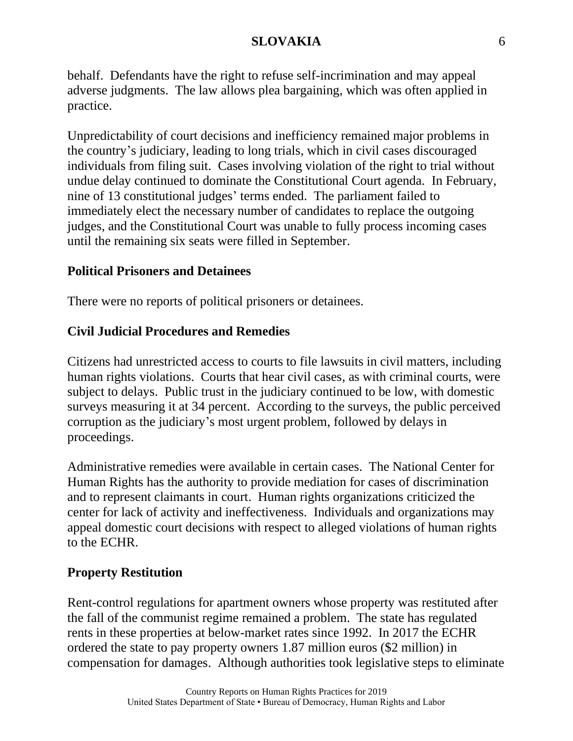behalf. Defendants have the right to refuse self-incrimination and may appeal adverse judgments. The law allows plea bargaining, which was often applied in practice.

Unpredictability of court decisions and inefficiency remained major problems in the country's judiciary, leading to long trials, which in civil cases discouraged individuals from filing suit. Cases involving violation of the right to trial without undue delay continued to dominate the Constitutional Court agenda. In February, nine of 13 constitutional judges' terms ended. The parliament failed to immediately elect the necessary number of candidates to replace the outgoing judges, and the Constitutional Court was unable to fully process incoming cases until the remaining six seats were filled in September.

# **Political Prisoners and Detainees**

There were no reports of political prisoners or detainees.

# **Civil Judicial Procedures and Remedies**

Citizens had unrestricted access to courts to file lawsuits in civil matters, including human rights violations. Courts that hear civil cases, as with criminal courts, were subject to delays. Public trust in the judiciary continued to be low, with domestic surveys measuring it at 34 percent. According to the surveys, the public perceived corruption as the judiciary's most urgent problem, followed by delays in proceedings.

Administrative remedies were available in certain cases. The National Center for Human Rights has the authority to provide mediation for cases of discrimination and to represent claimants in court. Human rights organizations criticized the center for lack of activity and ineffectiveness. Individuals and organizations may appeal domestic court decisions with respect to alleged violations of human rights to the ECHR.

# **Property Restitution**

Rent-control regulations for apartment owners whose property was restituted after the fall of the communist regime remained a problem. The state has regulated rents in these properties at below-market rates since 1992. In 2017 the ECHR ordered the state to pay property owners 1.87 million euros (\$2 million) in compensation for damages. Although authorities took legislative steps to eliminate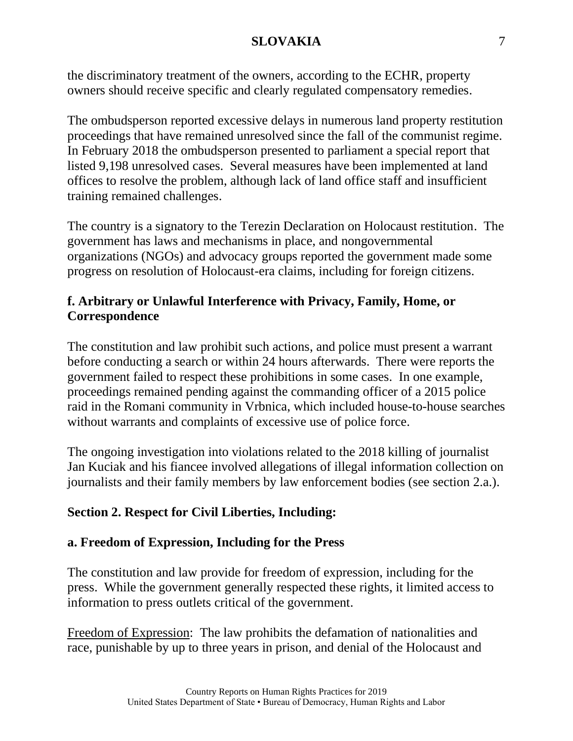the discriminatory treatment of the owners, according to the ECHR, property owners should receive specific and clearly regulated compensatory remedies.

The ombudsperson reported excessive delays in numerous land property restitution proceedings that have remained unresolved since the fall of the communist regime. In February 2018 the ombudsperson presented to parliament a special report that listed 9,198 unresolved cases. Several measures have been implemented at land offices to resolve the problem, although lack of land office staff and insufficient training remained challenges.

The country is a signatory to the Terezin Declaration on Holocaust restitution. The government has laws and mechanisms in place, and nongovernmental organizations (NGOs) and advocacy groups reported the government made some progress on resolution of Holocaust-era claims, including for foreign citizens.

# **f. Arbitrary or Unlawful Interference with Privacy, Family, Home, or Correspondence**

The constitution and law prohibit such actions, and police must present a warrant before conducting a search or within 24 hours afterwards. There were reports the government failed to respect these prohibitions in some cases. In one example, proceedings remained pending against the commanding officer of a 2015 police raid in the Romani community in Vrbnica, which included house-to-house searches without warrants and complaints of excessive use of police force.

The ongoing investigation into violations related to the 2018 killing of journalist Jan Kuciak and his fiancee involved allegations of illegal information collection on journalists and their family members by law enforcement bodies (see section 2.a.).

# **Section 2. Respect for Civil Liberties, Including:**

# **a. Freedom of Expression, Including for the Press**

The constitution and law provide for freedom of expression, including for the press. While the government generally respected these rights, it limited access to information to press outlets critical of the government.

Freedom of Expression: The law prohibits the defamation of nationalities and race, punishable by up to three years in prison, and denial of the Holocaust and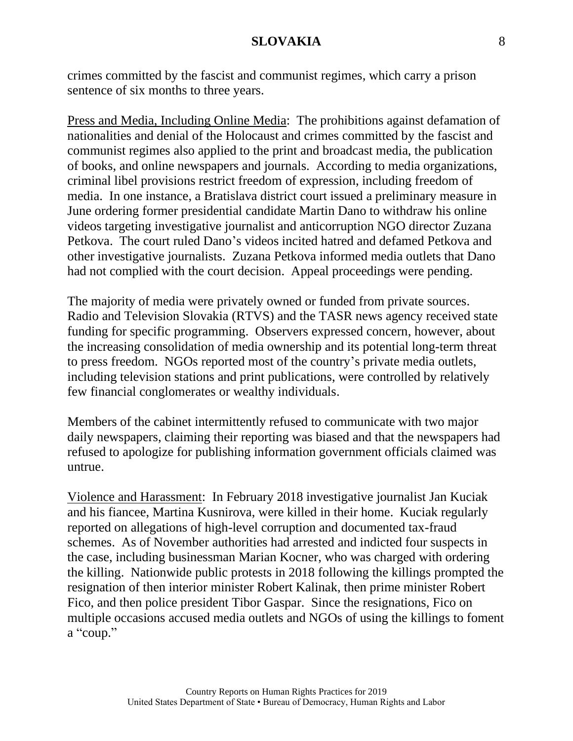crimes committed by the fascist and communist regimes, which carry a prison sentence of six months to three years.

Press and Media, Including Online Media: The prohibitions against defamation of nationalities and denial of the Holocaust and crimes committed by the fascist and communist regimes also applied to the print and broadcast media, the publication of books, and online newspapers and journals. According to media organizations, criminal libel provisions restrict freedom of expression, including freedom of media. In one instance, a Bratislava district court issued a preliminary measure in June ordering former presidential candidate Martin Dano to withdraw his online videos targeting investigative journalist and anticorruption NGO director Zuzana Petkova. The court ruled Dano's videos incited hatred and defamed Petkova and other investigative journalists. Zuzana Petkova informed media outlets that Dano had not complied with the court decision. Appeal proceedings were pending.

The majority of media were privately owned or funded from private sources. Radio and Television Slovakia (RTVS) and the TASR news agency received state funding for specific programming. Observers expressed concern, however, about the increasing consolidation of media ownership and its potential long-term threat to press freedom. NGOs reported most of the country's private media outlets, including television stations and print publications, were controlled by relatively few financial conglomerates or wealthy individuals.

Members of the cabinet intermittently refused to communicate with two major daily newspapers, claiming their reporting was biased and that the newspapers had refused to apologize for publishing information government officials claimed was untrue.

Violence and Harassment: In February 2018 investigative journalist Jan Kuciak and his fiancee, Martina Kusnirova, were killed in their home. Kuciak regularly reported on allegations of high-level corruption and documented tax-fraud schemes. As of November authorities had arrested and indicted four suspects in the case, including businessman Marian Kocner, who was charged with ordering the killing. Nationwide public protests in 2018 following the killings prompted the resignation of then interior minister Robert Kalinak, then prime minister Robert Fico, and then police president Tibor Gaspar. Since the resignations, Fico on multiple occasions accused media outlets and NGOs of using the killings to foment a "coup."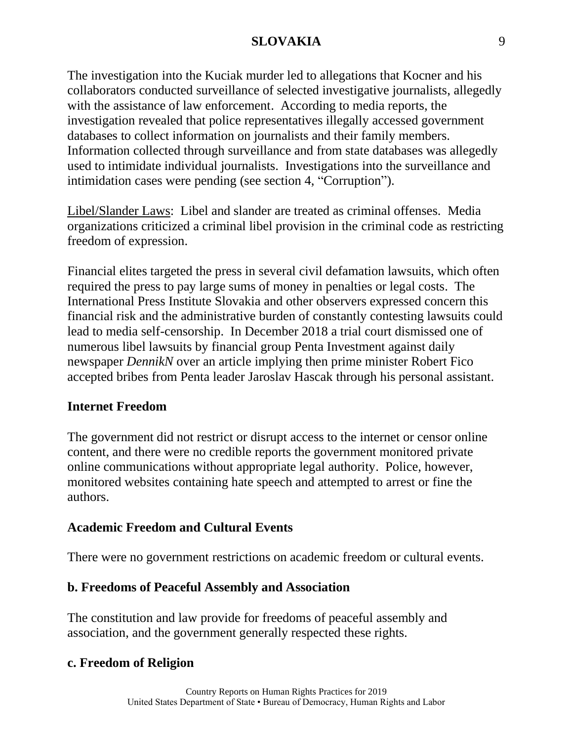The investigation into the Kuciak murder led to allegations that Kocner and his collaborators conducted surveillance of selected investigative journalists, allegedly with the assistance of law enforcement. According to media reports, the investigation revealed that police representatives illegally accessed government databases to collect information on journalists and their family members. Information collected through surveillance and from state databases was allegedly used to intimidate individual journalists. Investigations into the surveillance and intimidation cases were pending (see section 4, "Corruption").

Libel/Slander Laws: Libel and slander are treated as criminal offenses. Media organizations criticized a criminal libel provision in the criminal code as restricting freedom of expression.

Financial elites targeted the press in several civil defamation lawsuits, which often required the press to pay large sums of money in penalties or legal costs. The International Press Institute Slovakia and other observers expressed concern this financial risk and the administrative burden of constantly contesting lawsuits could lead to media self-censorship. In December 2018 a trial court dismissed one of numerous libel lawsuits by financial group Penta Investment against daily newspaper *DennikN* over an article implying then prime minister Robert Fico accepted bribes from Penta leader Jaroslav Hascak through his personal assistant.

# **Internet Freedom**

The government did not restrict or disrupt access to the internet or censor online content, and there were no credible reports the government monitored private online communications without appropriate legal authority. Police, however, monitored websites containing hate speech and attempted to arrest or fine the authors.

# **Academic Freedom and Cultural Events**

There were no government restrictions on academic freedom or cultural events.

# **b. Freedoms of Peaceful Assembly and Association**

The constitution and law provide for freedoms of peaceful assembly and association, and the government generally respected these rights.

# **c. Freedom of Religion**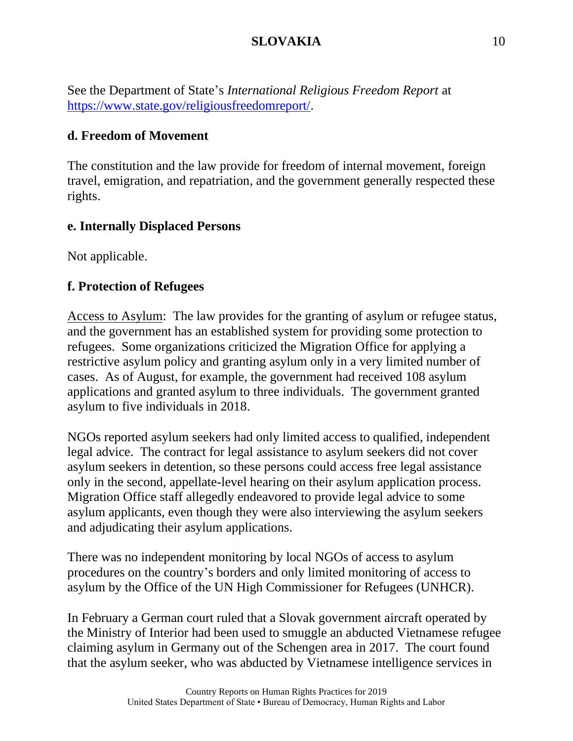See the Department of State's *International Religious Freedom Report* at [https://www.state.gov/religiousfreedomreport/.](https://www.state.gov/religiousfreedomreport/)

## **d. Freedom of Movement**

The constitution and the law provide for freedom of internal movement, foreign travel, emigration, and repatriation, and the government generally respected these rights.

## **e. Internally Displaced Persons**

Not applicable.

## **f. Protection of Refugees**

Access to Asylum: The law provides for the granting of asylum or refugee status, and the government has an established system for providing some protection to refugees. Some organizations criticized the Migration Office for applying a restrictive asylum policy and granting asylum only in a very limited number of cases. As of August, for example, the government had received 108 asylum applications and granted asylum to three individuals. The government granted asylum to five individuals in 2018.

NGOs reported asylum seekers had only limited access to qualified, independent legal advice. The contract for legal assistance to asylum seekers did not cover asylum seekers in detention, so these persons could access free legal assistance only in the second, appellate-level hearing on their asylum application process. Migration Office staff allegedly endeavored to provide legal advice to some asylum applicants, even though they were also interviewing the asylum seekers and adjudicating their asylum applications.

There was no independent monitoring by local NGOs of access to asylum procedures on the country's borders and only limited monitoring of access to asylum by the Office of the UN High Commissioner for Refugees (UNHCR).

In February a German court ruled that a Slovak government aircraft operated by the Ministry of Interior had been used to smuggle an abducted Vietnamese refugee claiming asylum in Germany out of the Schengen area in 2017. The court found that the asylum seeker, who was abducted by Vietnamese intelligence services in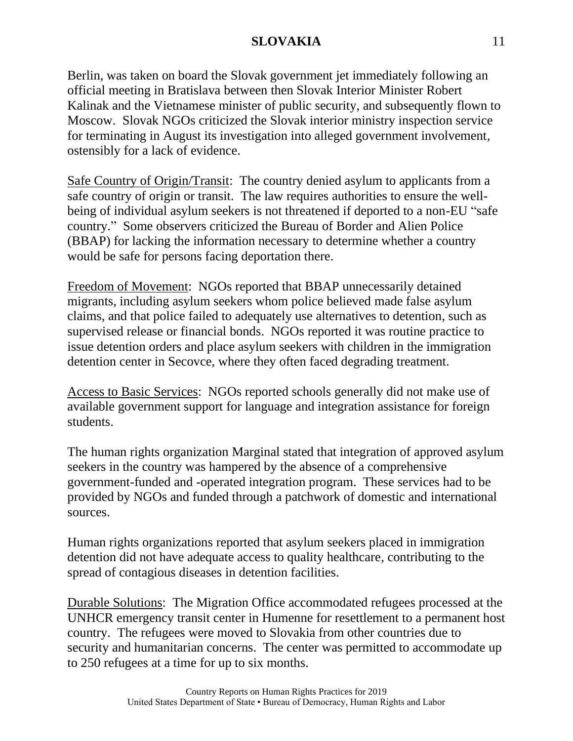Berlin, was taken on board the Slovak government jet immediately following an official meeting in Bratislava between then Slovak Interior Minister Robert Kalinak and the Vietnamese minister of public security, and subsequently flown to Moscow. Slovak NGOs criticized the Slovak interior ministry inspection service for terminating in August its investigation into alleged government involvement, ostensibly for a lack of evidence.

Safe Country of Origin/Transit: The country denied asylum to applicants from a safe country of origin or transit. The law requires authorities to ensure the wellbeing of individual asylum seekers is not threatened if deported to a non-EU "safe country." Some observers criticized the Bureau of Border and Alien Police (BBAP) for lacking the information necessary to determine whether a country would be safe for persons facing deportation there.

Freedom of Movement: NGOs reported that BBAP unnecessarily detained migrants, including asylum seekers whom police believed made false asylum claims, and that police failed to adequately use alternatives to detention, such as supervised release or financial bonds. NGOs reported it was routine practice to issue detention orders and place asylum seekers with children in the immigration detention center in Secovce, where they often faced degrading treatment.

Access to Basic Services: NGOs reported schools generally did not make use of available government support for language and integration assistance for foreign students.

The human rights organization Marginal stated that integration of approved asylum seekers in the country was hampered by the absence of a comprehensive government-funded and -operated integration program. These services had to be provided by NGOs and funded through a patchwork of domestic and international sources.

Human rights organizations reported that asylum seekers placed in immigration detention did not have adequate access to quality healthcare, contributing to the spread of contagious diseases in detention facilities.

Durable Solutions: The Migration Office accommodated refugees processed at the UNHCR emergency transit center in Humenne for resettlement to a permanent host country. The refugees were moved to Slovakia from other countries due to security and humanitarian concerns. The center was permitted to accommodate up to 250 refugees at a time for up to six months.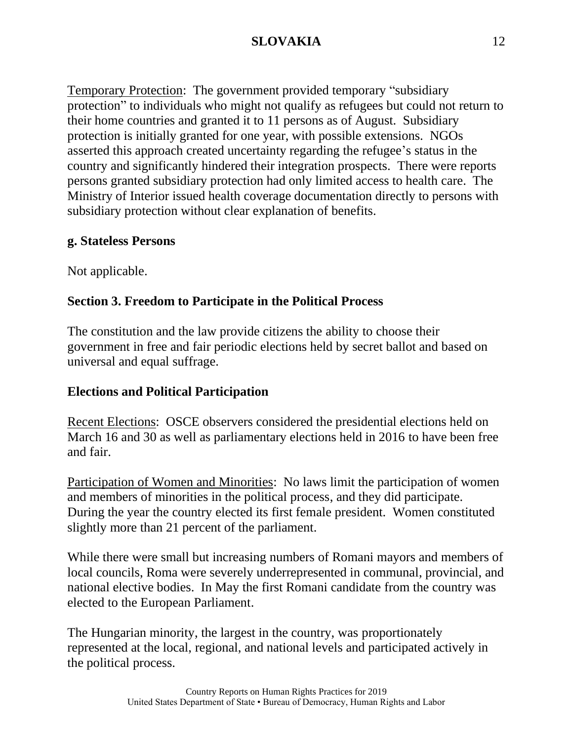Temporary Protection: The government provided temporary "subsidiary protection" to individuals who might not qualify as refugees but could not return to their home countries and granted it to 11 persons as of August. Subsidiary protection is initially granted for one year, with possible extensions. NGOs asserted this approach created uncertainty regarding the refugee's status in the country and significantly hindered their integration prospects. There were reports persons granted subsidiary protection had only limited access to health care. The Ministry of Interior issued health coverage documentation directly to persons with subsidiary protection without clear explanation of benefits.

## **g. Stateless Persons**

Not applicable.

# **Section 3. Freedom to Participate in the Political Process**

The constitution and the law provide citizens the ability to choose their government in free and fair periodic elections held by secret ballot and based on universal and equal suffrage.

# **Elections and Political Participation**

Recent Elections: OSCE observers considered the presidential elections held on March 16 and 30 as well as parliamentary elections held in 2016 to have been free and fair.

Participation of Women and Minorities: No laws limit the participation of women and members of minorities in the political process, and they did participate. During the year the country elected its first female president. Women constituted slightly more than 21 percent of the parliament.

While there were small but increasing numbers of Romani mayors and members of local councils, Roma were severely underrepresented in communal, provincial, and national elective bodies. In May the first Romani candidate from the country was elected to the European Parliament.

The Hungarian minority, the largest in the country, was proportionately represented at the local, regional, and national levels and participated actively in the political process.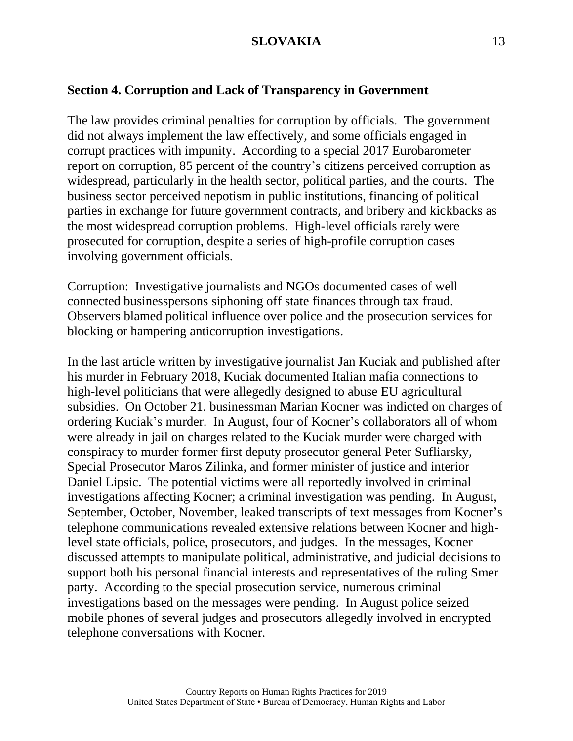## **Section 4. Corruption and Lack of Transparency in Government**

The law provides criminal penalties for corruption by officials. The government did not always implement the law effectively, and some officials engaged in corrupt practices with impunity. According to a special 2017 Eurobarometer report on corruption, 85 percent of the country's citizens perceived corruption as widespread, particularly in the health sector, political parties, and the courts. The business sector perceived nepotism in public institutions, financing of political parties in exchange for future government contracts, and bribery and kickbacks as the most widespread corruption problems. High-level officials rarely were prosecuted for corruption, despite a series of high-profile corruption cases involving government officials.

Corruption: Investigative journalists and NGOs documented cases of well connected businesspersons siphoning off state finances through tax fraud. Observers blamed political influence over police and the prosecution services for blocking or hampering anticorruption investigations.

In the last article written by investigative journalist Jan Kuciak and published after his murder in February 2018, Kuciak documented Italian mafia connections to high-level politicians that were allegedly designed to abuse EU agricultural subsidies. On October 21, businessman Marian Kocner was indicted on charges of ordering Kuciak's murder. In August, four of Kocner's collaborators all of whom were already in jail on charges related to the Kuciak murder were charged with conspiracy to murder former first deputy prosecutor general Peter Sufliarsky, Special Prosecutor Maros Zilinka, and former minister of justice and interior Daniel Lipsic. The potential victims were all reportedly involved in criminal investigations affecting Kocner; a criminal investigation was pending. In August, September, October, November, leaked transcripts of text messages from Kocner's telephone communications revealed extensive relations between Kocner and highlevel state officials, police, prosecutors, and judges. In the messages, Kocner discussed attempts to manipulate political, administrative, and judicial decisions to support both his personal financial interests and representatives of the ruling Smer party. According to the special prosecution service, numerous criminal investigations based on the messages were pending. In August police seized mobile phones of several judges and prosecutors allegedly involved in encrypted telephone conversations with Kocner.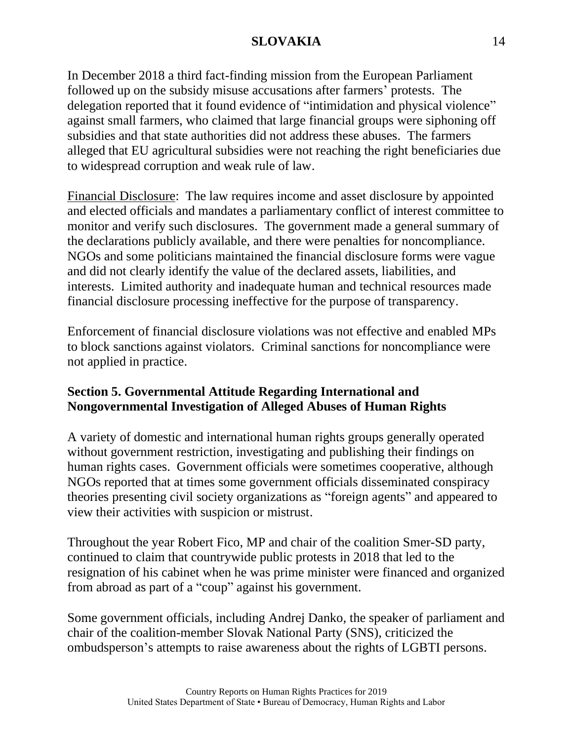In December 2018 a third fact-finding mission from the European Parliament followed up on the subsidy misuse accusations after farmers' protests. The delegation reported that it found evidence of "intimidation and physical violence" against small farmers, who claimed that large financial groups were siphoning off subsidies and that state authorities did not address these abuses. The farmers alleged that EU agricultural subsidies were not reaching the right beneficiaries due to widespread corruption and weak rule of law.

Financial Disclosure: The law requires income and asset disclosure by appointed and elected officials and mandates a parliamentary conflict of interest committee to monitor and verify such disclosures. The government made a general summary of the declarations publicly available, and there were penalties for noncompliance. NGOs and some politicians maintained the financial disclosure forms were vague and did not clearly identify the value of the declared assets, liabilities, and interests. Limited authority and inadequate human and technical resources made financial disclosure processing ineffective for the purpose of transparency.

Enforcement of financial disclosure violations was not effective and enabled MPs to block sanctions against violators. Criminal sanctions for noncompliance were not applied in practice.

# **Section 5. Governmental Attitude Regarding International and Nongovernmental Investigation of Alleged Abuses of Human Rights**

A variety of domestic and international human rights groups generally operated without government restriction, investigating and publishing their findings on human rights cases. Government officials were sometimes cooperative, although NGOs reported that at times some government officials disseminated conspiracy theories presenting civil society organizations as "foreign agents" and appeared to view their activities with suspicion or mistrust.

Throughout the year Robert Fico, MP and chair of the coalition Smer-SD party, continued to claim that countrywide public protests in 2018 that led to the resignation of his cabinet when he was prime minister were financed and organized from abroad as part of a "coup" against his government.

Some government officials, including Andrej Danko, the speaker of parliament and chair of the coalition-member Slovak National Party (SNS), criticized the ombudsperson's attempts to raise awareness about the rights of LGBTI persons.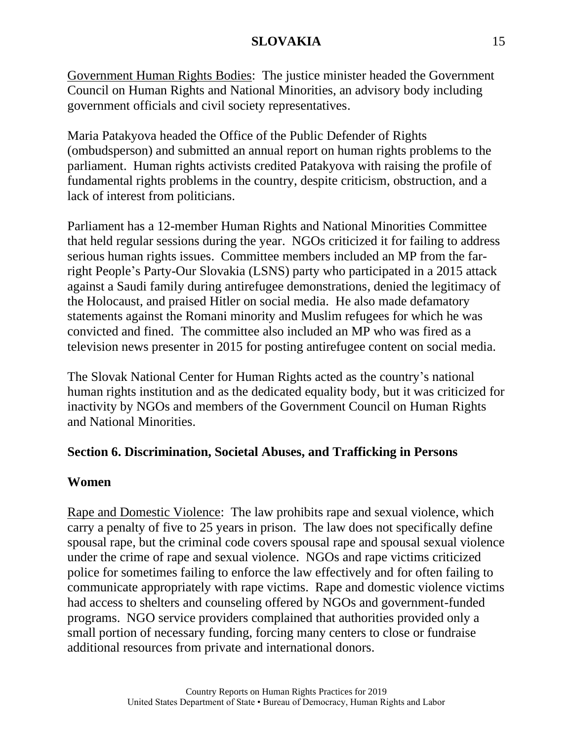Government Human Rights Bodies: The justice minister headed the Government Council on Human Rights and National Minorities, an advisory body including government officials and civil society representatives.

Maria Patakyova headed the Office of the Public Defender of Rights (ombudsperson) and submitted an annual report on human rights problems to the parliament. Human rights activists credited Patakyova with raising the profile of fundamental rights problems in the country, despite criticism, obstruction, and a lack of interest from politicians.

Parliament has a 12-member Human Rights and National Minorities Committee that held regular sessions during the year. NGOs criticized it for failing to address serious human rights issues. Committee members included an MP from the farright People's Party-Our Slovakia (LSNS) party who participated in a 2015 attack against a Saudi family during antirefugee demonstrations, denied the legitimacy of the Holocaust, and praised Hitler on social media. He also made defamatory statements against the Romani minority and Muslim refugees for which he was convicted and fined. The committee also included an MP who was fired as a television news presenter in 2015 for posting antirefugee content on social media.

The Slovak National Center for Human Rights acted as the country's national human rights institution and as the dedicated equality body, but it was criticized for inactivity by NGOs and members of the Government Council on Human Rights and National Minorities.

# **Section 6. Discrimination, Societal Abuses, and Trafficking in Persons**

#### **Women**

Rape and Domestic Violence: The law prohibits rape and sexual violence, which carry a penalty of five to 25 years in prison. The law does not specifically define spousal rape, but the criminal code covers spousal rape and spousal sexual violence under the crime of rape and sexual violence. NGOs and rape victims criticized police for sometimes failing to enforce the law effectively and for often failing to communicate appropriately with rape victims. Rape and domestic violence victims had access to shelters and counseling offered by NGOs and government-funded programs. NGO service providers complained that authorities provided only a small portion of necessary funding, forcing many centers to close or fundraise additional resources from private and international donors.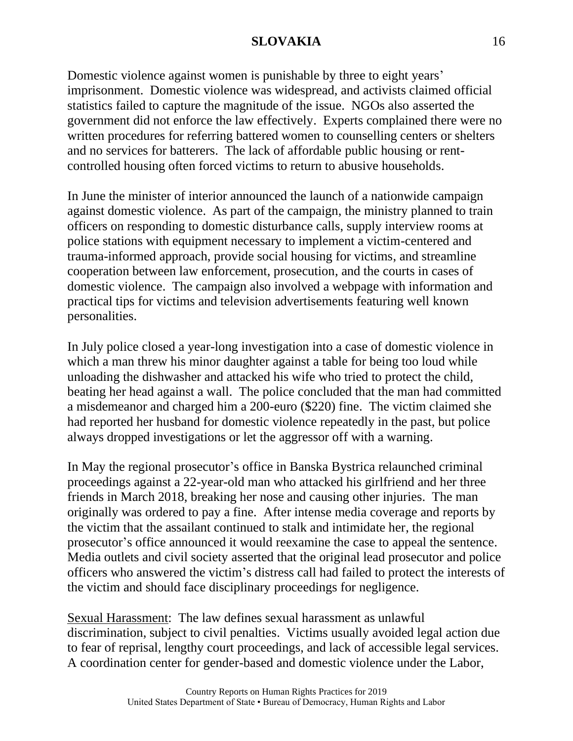Domestic violence against women is punishable by three to eight years' imprisonment. Domestic violence was widespread, and activists claimed official statistics failed to capture the magnitude of the issue. NGOs also asserted the government did not enforce the law effectively. Experts complained there were no written procedures for referring battered women to counselling centers or shelters and no services for batterers. The lack of affordable public housing or rentcontrolled housing often forced victims to return to abusive households.

In June the minister of interior announced the launch of a nationwide campaign against domestic violence. As part of the campaign, the ministry planned to train officers on responding to domestic disturbance calls, supply interview rooms at police stations with equipment necessary to implement a victim-centered and trauma-informed approach, provide social housing for victims, and streamline cooperation between law enforcement, prosecution, and the courts in cases of domestic violence. The campaign also involved a webpage with information and practical tips for victims and television advertisements featuring well known personalities.

In July police closed a year-long investigation into a case of domestic violence in which a man threw his minor daughter against a table for being too loud while unloading the dishwasher and attacked his wife who tried to protect the child, beating her head against a wall. The police concluded that the man had committed a misdemeanor and charged him a 200-euro (\$220) fine. The victim claimed she had reported her husband for domestic violence repeatedly in the past, but police always dropped investigations or let the aggressor off with a warning.

In May the regional prosecutor's office in Banska Bystrica relaunched criminal proceedings against a 22-year-old man who attacked his girlfriend and her three friends in March 2018, breaking her nose and causing other injuries. The man originally was ordered to pay a fine. After intense media coverage and reports by the victim that the assailant continued to stalk and intimidate her, the regional prosecutor's office announced it would reexamine the case to appeal the sentence. Media outlets and civil society asserted that the original lead prosecutor and police officers who answered the victim's distress call had failed to protect the interests of the victim and should face disciplinary proceedings for negligence.

Sexual Harassment: The law defines sexual harassment as unlawful discrimination, subject to civil penalties. Victims usually avoided legal action due to fear of reprisal, lengthy court proceedings, and lack of accessible legal services. A coordination center for gender-based and domestic violence under the Labor,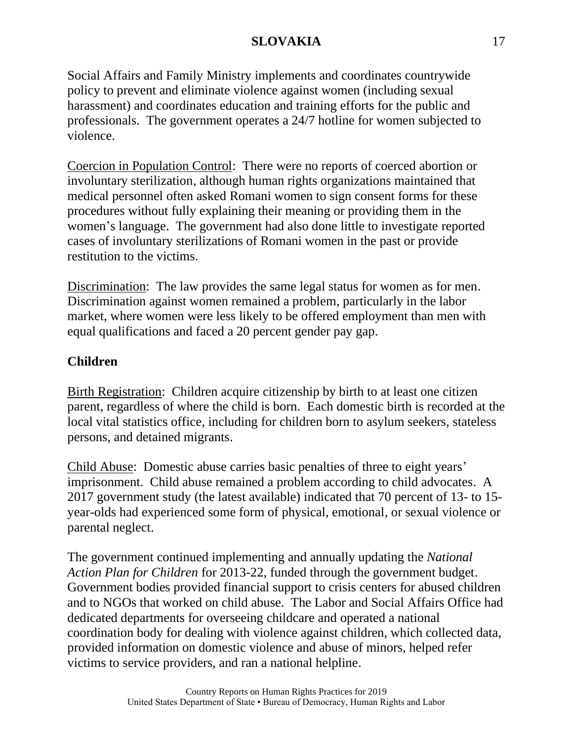Social Affairs and Family Ministry implements and coordinates countrywide policy to prevent and eliminate violence against women (including sexual harassment) and coordinates education and training efforts for the public and professionals. The government operates a 24/7 hotline for women subjected to violence.

Coercion in Population Control: There were no reports of coerced abortion or involuntary sterilization, although human rights organizations maintained that medical personnel often asked Romani women to sign consent forms for these procedures without fully explaining their meaning or providing them in the women's language. The government had also done little to investigate reported cases of involuntary sterilizations of Romani women in the past or provide restitution to the victims.

Discrimination: The law provides the same legal status for women as for men. Discrimination against women remained a problem, particularly in the labor market, where women were less likely to be offered employment than men with equal qualifications and faced a 20 percent gender pay gap.

# **Children**

Birth Registration: Children acquire citizenship by birth to at least one citizen parent, regardless of where the child is born. Each domestic birth is recorded at the local vital statistics office, including for children born to asylum seekers, stateless persons, and detained migrants.

Child Abuse: Domestic abuse carries basic penalties of three to eight years' imprisonment. Child abuse remained a problem according to child advocates. A 2017 government study (the latest available) indicated that 70 percent of 13- to 15 year-olds had experienced some form of physical, emotional, or sexual violence or parental neglect.

The government continued implementing and annually updating the *National Action Plan for Children* for 2013-22, funded through the government budget. Government bodies provided financial support to crisis centers for abused children and to NGOs that worked on child abuse. The Labor and Social Affairs Office had dedicated departments for overseeing childcare and operated a national coordination body for dealing with violence against children, which collected data, provided information on domestic violence and abuse of minors, helped refer victims to service providers, and ran a national helpline.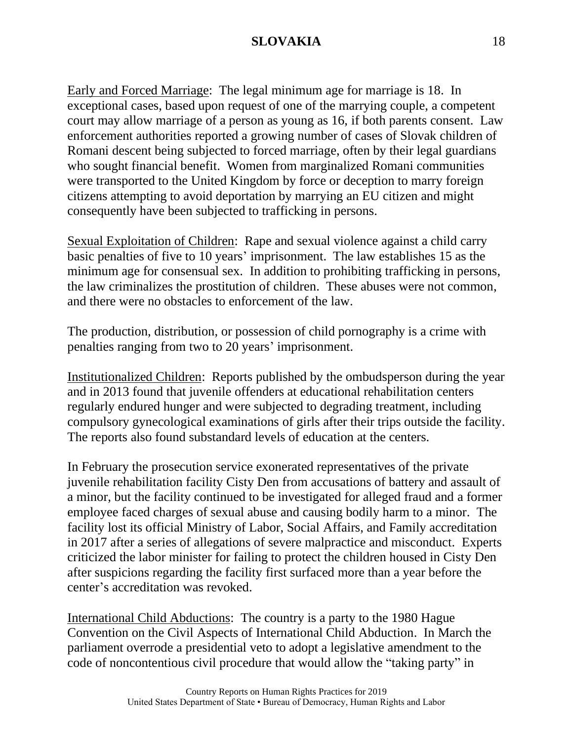Early and Forced Marriage: The legal minimum age for marriage is 18. In exceptional cases, based upon request of one of the marrying couple, a competent court may allow marriage of a person as young as 16, if both parents consent. Law enforcement authorities reported a growing number of cases of Slovak children of Romani descent being subjected to forced marriage, often by their legal guardians who sought financial benefit. Women from marginalized Romani communities were transported to the United Kingdom by force or deception to marry foreign citizens attempting to avoid deportation by marrying an EU citizen and might consequently have been subjected to trafficking in persons.

Sexual Exploitation of Children: Rape and sexual violence against a child carry basic penalties of five to 10 years' imprisonment. The law establishes 15 as the minimum age for consensual sex. In addition to prohibiting trafficking in persons, the law criminalizes the prostitution of children. These abuses were not common, and there were no obstacles to enforcement of the law.

The production, distribution, or possession of child pornography is a crime with penalties ranging from two to 20 years' imprisonment.

Institutionalized Children: Reports published by the ombudsperson during the year and in 2013 found that juvenile offenders at educational rehabilitation centers regularly endured hunger and were subjected to degrading treatment, including compulsory gynecological examinations of girls after their trips outside the facility. The reports also found substandard levels of education at the centers.

In February the prosecution service exonerated representatives of the private juvenile rehabilitation facility Cisty Den from accusations of battery and assault of a minor, but the facility continued to be investigated for alleged fraud and a former employee faced charges of sexual abuse and causing bodily harm to a minor. The facility lost its official Ministry of Labor, Social Affairs, and Family accreditation in 2017 after a series of allegations of severe malpractice and misconduct. Experts criticized the labor minister for failing to protect the children housed in Cisty Den after suspicions regarding the facility first surfaced more than a year before the center's accreditation was revoked.

International Child Abductions: The country is a party to the 1980 Hague Convention on the Civil Aspects of International Child Abduction. In March the parliament overrode a presidential veto to adopt a legislative amendment to the code of noncontentious civil procedure that would allow the "taking party" in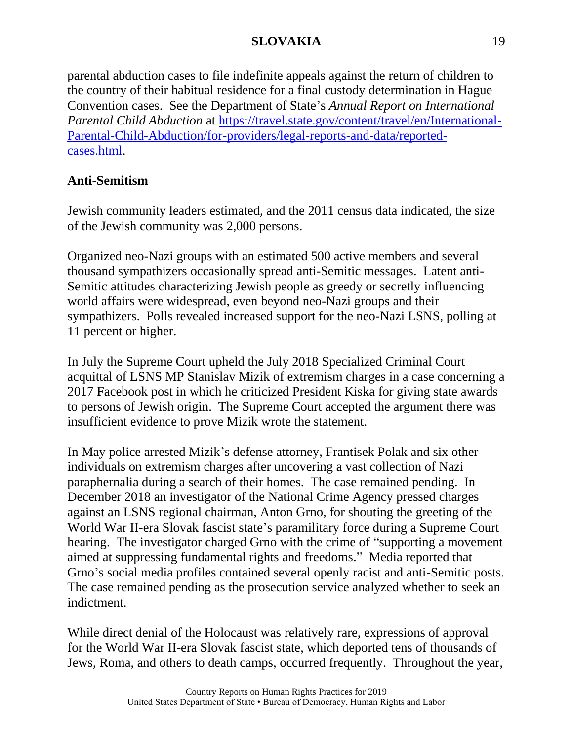parental abduction cases to file indefinite appeals against the return of children to the country of their habitual residence for a final custody determination in Hague Convention cases. See the Department of State's *Annual Report on International Parental Child Abduction* at [https://travel.state.gov/content/travel/en/International-](https://travel.state.gov/content/travel/en/International-Parental-Child-Abduction/for-providers/legal-reports-and-data/reported-cases.html)[Parental-Child-Abduction/for-providers/legal-reports-and-data/reported](https://travel.state.gov/content/travel/en/International-Parental-Child-Abduction/for-providers/legal-reports-and-data/reported-cases.html)[cases.html.](https://travel.state.gov/content/travel/en/International-Parental-Child-Abduction/for-providers/legal-reports-and-data/reported-cases.html)

# **Anti-Semitism**

Jewish community leaders estimated, and the 2011 census data indicated, the size of the Jewish community was 2,000 persons.

Organized neo-Nazi groups with an estimated 500 active members and several thousand sympathizers occasionally spread anti-Semitic messages. Latent anti-Semitic attitudes characterizing Jewish people as greedy or secretly influencing world affairs were widespread, even beyond neo-Nazi groups and their sympathizers. Polls revealed increased support for the neo-Nazi LSNS, polling at 11 percent or higher.

In July the Supreme Court upheld the July 2018 Specialized Criminal Court acquittal of LSNS MP Stanislav Mizik of extremism charges in a case concerning a 2017 Facebook post in which he criticized President Kiska for giving state awards to persons of Jewish origin. The Supreme Court accepted the argument there was insufficient evidence to prove Mizik wrote the statement.

In May police arrested Mizik's defense attorney, Frantisek Polak and six other individuals on extremism charges after uncovering a vast collection of Nazi paraphernalia during a search of their homes. The case remained pending. In December 2018 an investigator of the National Crime Agency pressed charges against an LSNS regional chairman, Anton Grno, for shouting the greeting of the World War II-era Slovak fascist state's paramilitary force during a Supreme Court hearing. The investigator charged Grno with the crime of "supporting a movement aimed at suppressing fundamental rights and freedoms." Media reported that Grno's social media profiles contained several openly racist and anti-Semitic posts. The case remained pending as the prosecution service analyzed whether to seek an indictment.

While direct denial of the Holocaust was relatively rare, expressions of approval for the World War II-era Slovak fascist state, which deported tens of thousands of Jews, Roma, and others to death camps, occurred frequently. Throughout the year,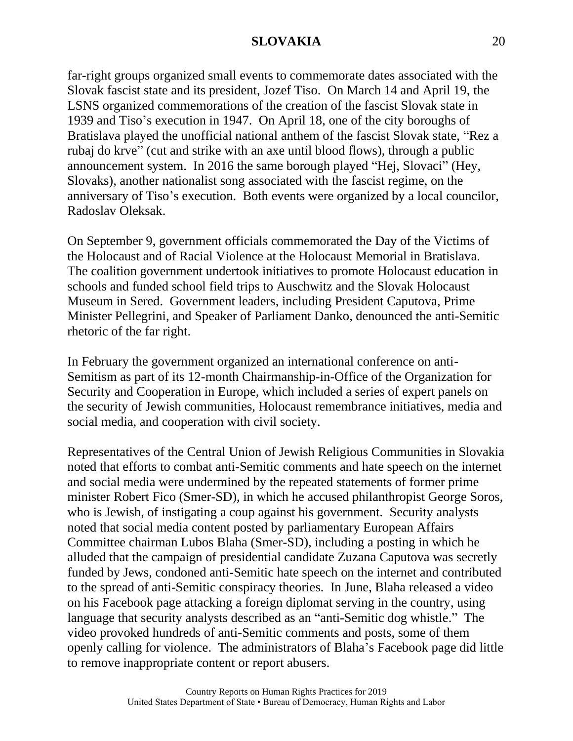far-right groups organized small events to commemorate dates associated with the Slovak fascist state and its president, Jozef Tiso. On March 14 and April 19, the LSNS organized commemorations of the creation of the fascist Slovak state in 1939 and Tiso's execution in 1947. On April 18, one of the city boroughs of Bratislava played the unofficial national anthem of the fascist Slovak state, "Rez a rubaj do krve" (cut and strike with an axe until blood flows), through a public announcement system. In 2016 the same borough played "Hej, Slovaci" (Hey, Slovaks), another nationalist song associated with the fascist regime, on the anniversary of Tiso's execution. Both events were organized by a local councilor, Radoslav Oleksak.

On September 9, government officials commemorated the Day of the Victims of the Holocaust and of Racial Violence at the Holocaust Memorial in Bratislava. The coalition government undertook initiatives to promote Holocaust education in schools and funded school field trips to Auschwitz and the Slovak Holocaust Museum in Sered. Government leaders, including President Caputova, Prime Minister Pellegrini, and Speaker of Parliament Danko, denounced the anti-Semitic rhetoric of the far right.

In February the government organized an international conference on anti-Semitism as part of its 12-month Chairmanship-in-Office of the Organization for Security and Cooperation in Europe, which included a series of expert panels on the security of Jewish communities, Holocaust remembrance initiatives, media and social media, and cooperation with civil society.

Representatives of the Central Union of Jewish Religious Communities in Slovakia noted that efforts to combat anti-Semitic comments and hate speech on the internet and social media were undermined by the repeated statements of former prime minister Robert Fico (Smer-SD), in which he accused philanthropist George Soros, who is Jewish, of instigating a coup against his government. Security analysts noted that social media content posted by parliamentary European Affairs Committee chairman Lubos Blaha (Smer-SD), including a posting in which he alluded that the campaign of presidential candidate Zuzana Caputova was secretly funded by Jews, condoned anti-Semitic hate speech on the internet and contributed to the spread of anti-Semitic conspiracy theories. In June, Blaha released a video on his Facebook page attacking a foreign diplomat serving in the country, using language that security analysts described as an "anti-Semitic dog whistle." The video provoked hundreds of anti-Semitic comments and posts, some of them openly calling for violence. The administrators of Blaha's Facebook page did little to remove inappropriate content or report abusers.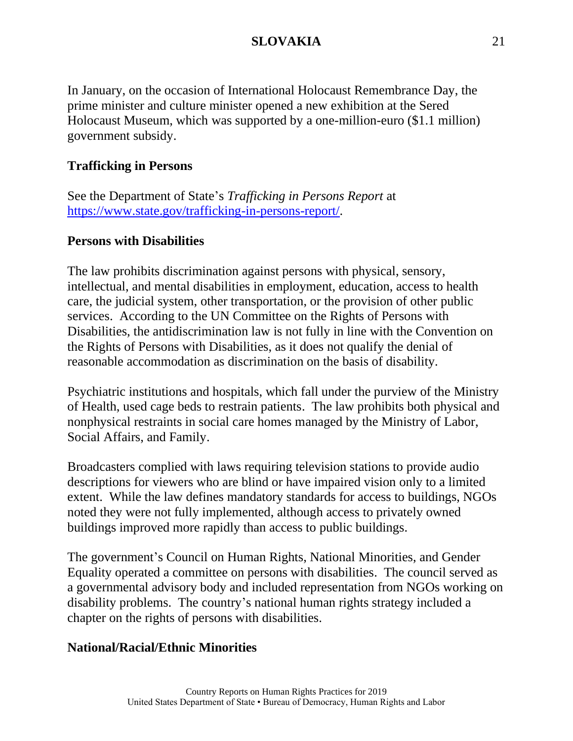In January, on the occasion of International Holocaust Remembrance Day, the prime minister and culture minister opened a new exhibition at the Sered Holocaust Museum, which was supported by a one-million-euro (\$1.1 million) government subsidy.

# **Trafficking in Persons**

See the Department of State's *Trafficking in Persons Report* at [https://www.state.gov/trafficking-in-persons-report/.](https://www.state.gov/trafficking-in-persons-report/)

# **Persons with Disabilities**

The law prohibits discrimination against persons with physical, sensory, intellectual, and mental disabilities in employment, education, access to health care, the judicial system, other transportation, or the provision of other public services. According to the UN Committee on the Rights of Persons with Disabilities, the antidiscrimination law is not fully in line with the Convention on the Rights of Persons with Disabilities, as it does not qualify the denial of reasonable accommodation as discrimination on the basis of disability.

Psychiatric institutions and hospitals, which fall under the purview of the Ministry of Health, used cage beds to restrain patients. The law prohibits both physical and nonphysical restraints in social care homes managed by the Ministry of Labor, Social Affairs, and Family.

Broadcasters complied with laws requiring television stations to provide audio descriptions for viewers who are blind or have impaired vision only to a limited extent. While the law defines mandatory standards for access to buildings, NGOs noted they were not fully implemented, although access to privately owned buildings improved more rapidly than access to public buildings.

The government's Council on Human Rights, National Minorities, and Gender Equality operated a committee on persons with disabilities. The council served as a governmental advisory body and included representation from NGOs working on disability problems. The country's national human rights strategy included a chapter on the rights of persons with disabilities.

# **National/Racial/Ethnic Minorities**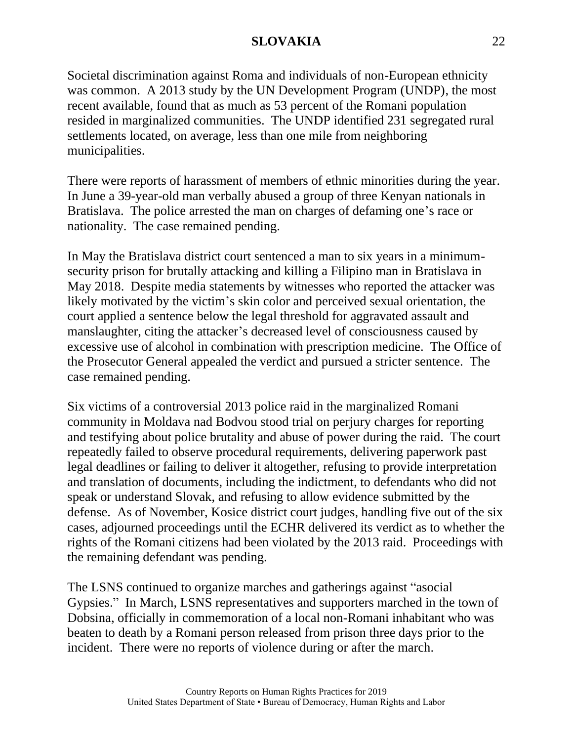Societal discrimination against Roma and individuals of non-European ethnicity was common. A 2013 study by the UN Development Program (UNDP), the most recent available, found that as much as 53 percent of the Romani population resided in marginalized communities. The UNDP identified 231 segregated rural settlements located, on average, less than one mile from neighboring municipalities.

There were reports of harassment of members of ethnic minorities during the year. In June a 39-year-old man verbally abused a group of three Kenyan nationals in Bratislava. The police arrested the man on charges of defaming one's race or nationality. The case remained pending.

In May the Bratislava district court sentenced a man to six years in a minimumsecurity prison for brutally attacking and killing a Filipino man in Bratislava in May 2018. Despite media statements by witnesses who reported the attacker was likely motivated by the victim's skin color and perceived sexual orientation, the court applied a sentence below the legal threshold for aggravated assault and manslaughter, citing the attacker's decreased level of consciousness caused by excessive use of alcohol in combination with prescription medicine. The Office of the Prosecutor General appealed the verdict and pursued a stricter sentence. The case remained pending.

Six victims of a controversial 2013 police raid in the marginalized Romani community in Moldava nad Bodvou stood trial on perjury charges for reporting and testifying about police brutality and abuse of power during the raid. The court repeatedly failed to observe procedural requirements, delivering paperwork past legal deadlines or failing to deliver it altogether, refusing to provide interpretation and translation of documents, including the indictment, to defendants who did not speak or understand Slovak, and refusing to allow evidence submitted by the defense. As of November, Kosice district court judges, handling five out of the six cases, adjourned proceedings until the ECHR delivered its verdict as to whether the rights of the Romani citizens had been violated by the 2013 raid. Proceedings with the remaining defendant was pending.

The LSNS continued to organize marches and gatherings against "asocial Gypsies." In March, LSNS representatives and supporters marched in the town of Dobsina, officially in commemoration of a local non-Romani inhabitant who was beaten to death by a Romani person released from prison three days prior to the incident. There were no reports of violence during or after the march.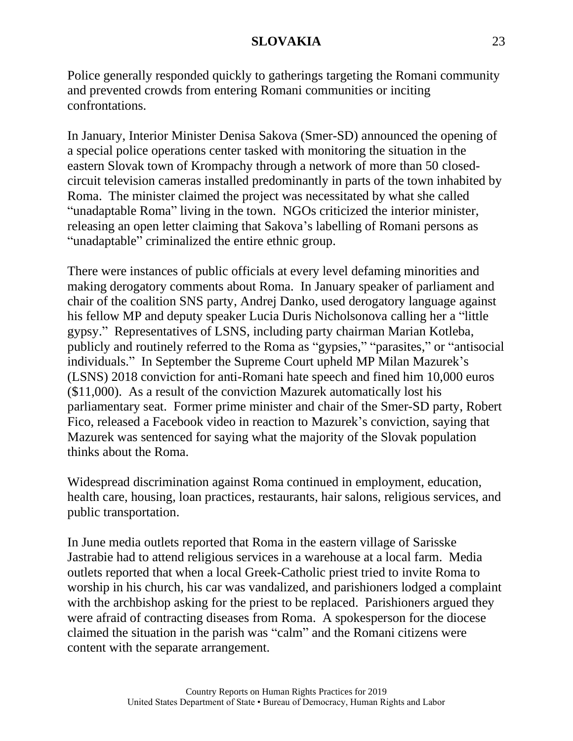Police generally responded quickly to gatherings targeting the Romani community and prevented crowds from entering Romani communities or inciting confrontations.

In January, Interior Minister Denisa Sakova (Smer-SD) announced the opening of a special police operations center tasked with monitoring the situation in the eastern Slovak town of Krompachy through a network of more than 50 closedcircuit television cameras installed predominantly in parts of the town inhabited by Roma. The minister claimed the project was necessitated by what she called "unadaptable Roma" living in the town. NGOs criticized the interior minister, releasing an open letter claiming that Sakova's labelling of Romani persons as "unadaptable" criminalized the entire ethnic group.

There were instances of public officials at every level defaming minorities and making derogatory comments about Roma. In January speaker of parliament and chair of the coalition SNS party, Andrej Danko, used derogatory language against his fellow MP and deputy speaker Lucia Duris Nicholsonova calling her a "little gypsy." Representatives of LSNS, including party chairman Marian Kotleba, publicly and routinely referred to the Roma as "gypsies," "parasites," or "antisocial individuals." In September the Supreme Court upheld MP Milan Mazurek's (LSNS) 2018 conviction for anti-Romani hate speech and fined him 10,000 euros (\$11,000). As a result of the conviction Mazurek automatically lost his parliamentary seat. Former prime minister and chair of the Smer-SD party, Robert Fico, released a Facebook video in reaction to Mazurek's conviction, saying that Mazurek was sentenced for saying what the majority of the Slovak population thinks about the Roma.

Widespread discrimination against Roma continued in employment, education, health care, housing, loan practices, restaurants, hair salons, religious services, and public transportation.

In June media outlets reported that Roma in the eastern village of Sarisske Jastrabie had to attend religious services in a warehouse at a local farm. Media outlets reported that when a local Greek-Catholic priest tried to invite Roma to worship in his church, his car was vandalized, and parishioners lodged a complaint with the archbishop asking for the priest to be replaced. Parishioners argued they were afraid of contracting diseases from Roma. A spokesperson for the diocese claimed the situation in the parish was "calm" and the Romani citizens were content with the separate arrangement.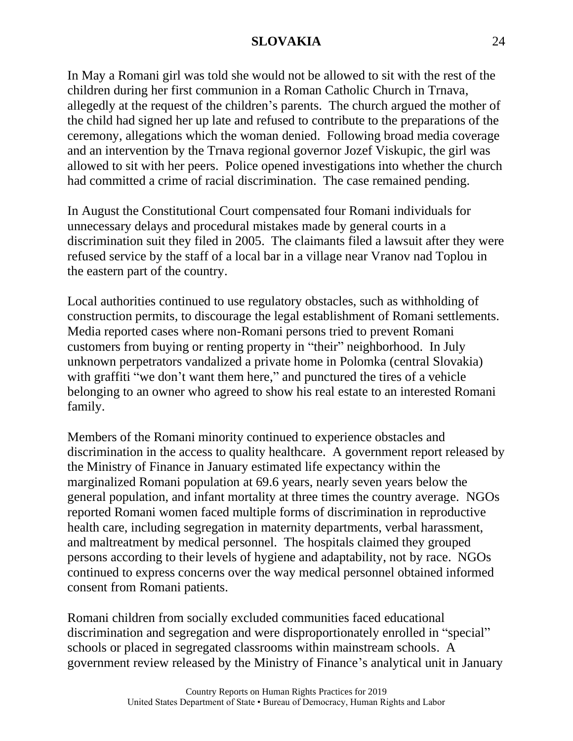In May a Romani girl was told she would not be allowed to sit with the rest of the children during her first communion in a Roman Catholic Church in Trnava, allegedly at the request of the children's parents. The church argued the mother of the child had signed her up late and refused to contribute to the preparations of the ceremony, allegations which the woman denied. Following broad media coverage and an intervention by the Trnava regional governor Jozef Viskupic, the girl was allowed to sit with her peers. Police opened investigations into whether the church had committed a crime of racial discrimination. The case remained pending.

In August the Constitutional Court compensated four Romani individuals for unnecessary delays and procedural mistakes made by general courts in a discrimination suit they filed in 2005. The claimants filed a lawsuit after they were refused service by the staff of a local bar in a village near Vranov nad Toplou in the eastern part of the country.

Local authorities continued to use regulatory obstacles, such as withholding of construction permits, to discourage the legal establishment of Romani settlements. Media reported cases where non-Romani persons tried to prevent Romani customers from buying or renting property in "their" neighborhood. In July unknown perpetrators vandalized a private home in Polomka (central Slovakia) with graffiti "we don't want them here," and punctured the tires of a vehicle belonging to an owner who agreed to show his real estate to an interested Romani family.

Members of the Romani minority continued to experience obstacles and discrimination in the access to quality healthcare. A government report released by the Ministry of Finance in January estimated life expectancy within the marginalized Romani population at 69.6 years, nearly seven years below the general population, and infant mortality at three times the country average. NGOs reported Romani women faced multiple forms of discrimination in reproductive health care, including segregation in maternity departments, verbal harassment, and maltreatment by medical personnel. The hospitals claimed they grouped persons according to their levels of hygiene and adaptability, not by race. NGOs continued to express concerns over the way medical personnel obtained informed consent from Romani patients.

Romani children from socially excluded communities faced educational discrimination and segregation and were disproportionately enrolled in "special" schools or placed in segregated classrooms within mainstream schools. A government review released by the Ministry of Finance's analytical unit in January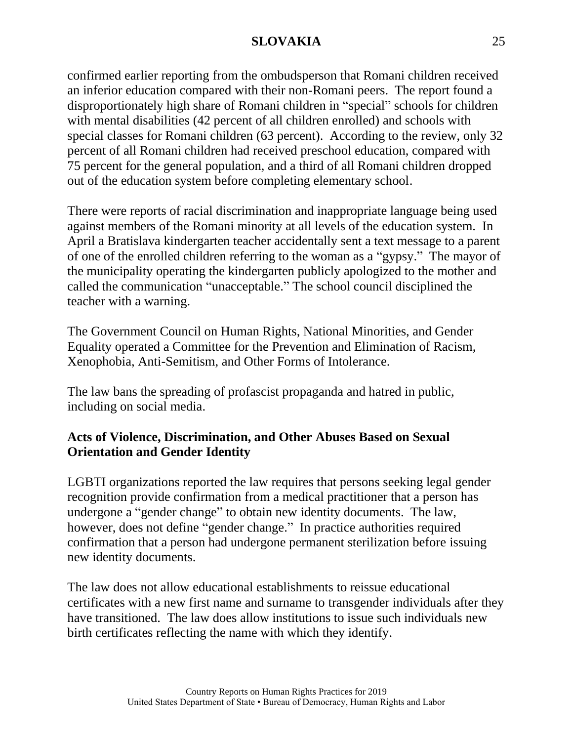confirmed earlier reporting from the ombudsperson that Romani children received an inferior education compared with their non-Romani peers. The report found a disproportionately high share of Romani children in "special" schools for children with mental disabilities (42 percent of all children enrolled) and schools with special classes for Romani children (63 percent). According to the review, only 32 percent of all Romani children had received preschool education, compared with 75 percent for the general population, and a third of all Romani children dropped out of the education system before completing elementary school.

There were reports of racial discrimination and inappropriate language being used against members of the Romani minority at all levels of the education system. In April a Bratislava kindergarten teacher accidentally sent a text message to a parent of one of the enrolled children referring to the woman as a "gypsy." The mayor of the municipality operating the kindergarten publicly apologized to the mother and called the communication "unacceptable." The school council disciplined the teacher with a warning.

The Government Council on Human Rights, National Minorities, and Gender Equality operated a Committee for the Prevention and Elimination of Racism, Xenophobia, Anti-Semitism, and Other Forms of Intolerance.

The law bans the spreading of profascist propaganda and hatred in public, including on social media.

# **Acts of Violence, Discrimination, and Other Abuses Based on Sexual Orientation and Gender Identity**

LGBTI organizations reported the law requires that persons seeking legal gender recognition provide confirmation from a medical practitioner that a person has undergone a "gender change" to obtain new identity documents. The law, however, does not define "gender change." In practice authorities required confirmation that a person had undergone permanent sterilization before issuing new identity documents.

The law does not allow educational establishments to reissue educational certificates with a new first name and surname to transgender individuals after they have transitioned. The law does allow institutions to issue such individuals new birth certificates reflecting the name with which they identify.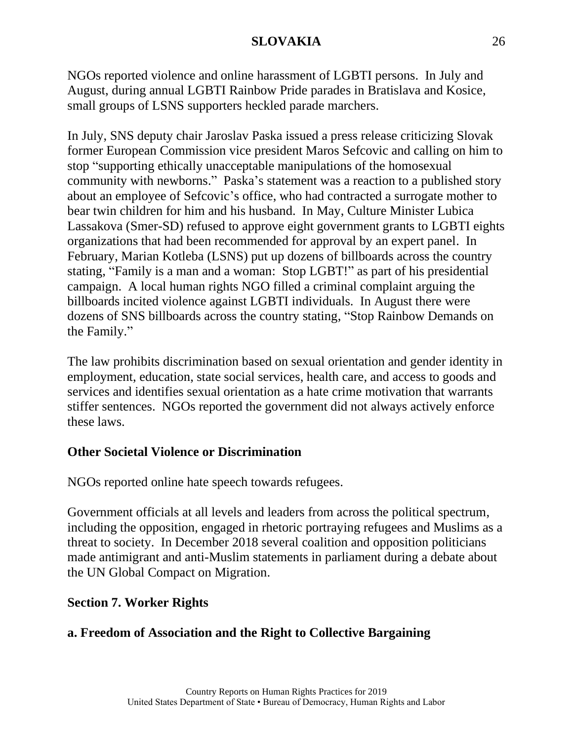NGOs reported violence and online harassment of LGBTI persons. In July and August, during annual LGBTI Rainbow Pride parades in Bratislava and Kosice, small groups of LSNS supporters heckled parade marchers.

In July, SNS deputy chair Jaroslav Paska issued a press release criticizing Slovak former European Commission vice president Maros Sefcovic and calling on him to stop "supporting ethically unacceptable manipulations of the homosexual community with newborns." Paska's statement was a reaction to a published story about an employee of Sefcovic's office, who had contracted a surrogate mother to bear twin children for him and his husband. In May, Culture Minister Lubica Lassakova (Smer-SD) refused to approve eight government grants to LGBTI eights organizations that had been recommended for approval by an expert panel. In February, Marian Kotleba (LSNS) put up dozens of billboards across the country stating, "Family is a man and a woman: Stop LGBT!" as part of his presidential campaign. A local human rights NGO filled a criminal complaint arguing the billboards incited violence against LGBTI individuals. In August there were dozens of SNS billboards across the country stating, "Stop Rainbow Demands on the Family."

The law prohibits discrimination based on sexual orientation and gender identity in employment, education, state social services, health care, and access to goods and services and identifies sexual orientation as a hate crime motivation that warrants stiffer sentences. NGOs reported the government did not always actively enforce these laws.

# **Other Societal Violence or Discrimination**

NGOs reported online hate speech towards refugees.

Government officials at all levels and leaders from across the political spectrum, including the opposition, engaged in rhetoric portraying refugees and Muslims as a threat to society. In December 2018 several coalition and opposition politicians made antimigrant and anti-Muslim statements in parliament during a debate about the UN Global Compact on Migration.

# **Section 7. Worker Rights**

# **a. Freedom of Association and the Right to Collective Bargaining**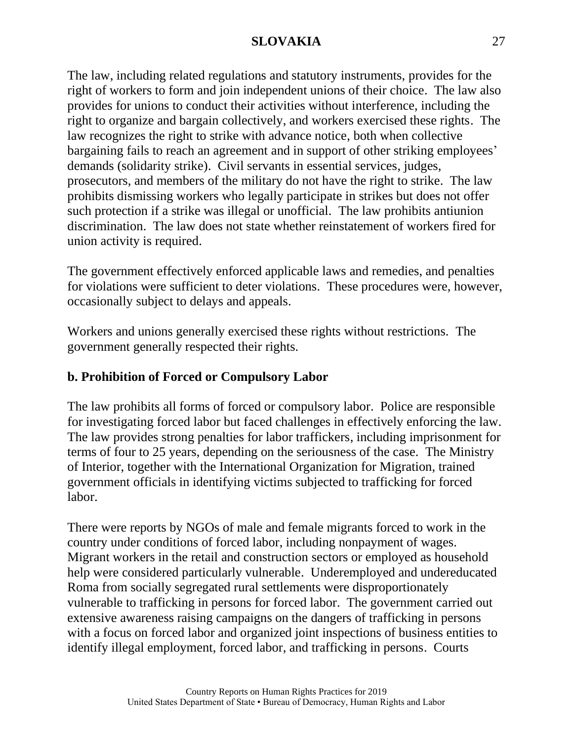The law, including related regulations and statutory instruments, provides for the right of workers to form and join independent unions of their choice. The law also provides for unions to conduct their activities without interference, including the right to organize and bargain collectively, and workers exercised these rights. The law recognizes the right to strike with advance notice, both when collective bargaining fails to reach an agreement and in support of other striking employees' demands (solidarity strike). Civil servants in essential services, judges, prosecutors, and members of the military do not have the right to strike. The law prohibits dismissing workers who legally participate in strikes but does not offer such protection if a strike was illegal or unofficial. The law prohibits antiunion discrimination. The law does not state whether reinstatement of workers fired for union activity is required.

The government effectively enforced applicable laws and remedies, and penalties for violations were sufficient to deter violations. These procedures were, however, occasionally subject to delays and appeals.

Workers and unions generally exercised these rights without restrictions. The government generally respected their rights.

# **b. Prohibition of Forced or Compulsory Labor**

The law prohibits all forms of forced or compulsory labor. Police are responsible for investigating forced labor but faced challenges in effectively enforcing the law. The law provides strong penalties for labor traffickers, including imprisonment for terms of four to 25 years, depending on the seriousness of the case. The Ministry of Interior, together with the International Organization for Migration, trained government officials in identifying victims subjected to trafficking for forced labor.

There were reports by NGOs of male and female migrants forced to work in the country under conditions of forced labor, including nonpayment of wages. Migrant workers in the retail and construction sectors or employed as household help were considered particularly vulnerable. Underemployed and undereducated Roma from socially segregated rural settlements were disproportionately vulnerable to trafficking in persons for forced labor. The government carried out extensive awareness raising campaigns on the dangers of trafficking in persons with a focus on forced labor and organized joint inspections of business entities to identify illegal employment, forced labor, and trafficking in persons. Courts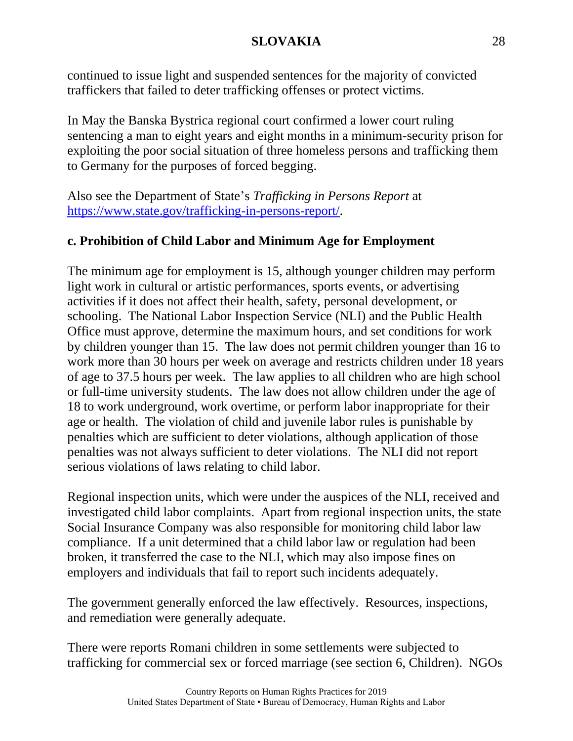continued to issue light and suspended sentences for the majority of convicted traffickers that failed to deter trafficking offenses or protect victims.

In May the Banska Bystrica regional court confirmed a lower court ruling sentencing a man to eight years and eight months in a minimum-security prison for exploiting the poor social situation of three homeless persons and trafficking them to Germany for the purposes of forced begging.

Also see the Department of State's *Trafficking in Persons Report* at [https://www.state.gov/trafficking-in-persons-report/.](https://www.state.gov/trafficking-in-persons-report/)

# **c. Prohibition of Child Labor and Minimum Age for Employment**

The minimum age for employment is 15, although younger children may perform light work in cultural or artistic performances, sports events, or advertising activities if it does not affect their health, safety, personal development, or schooling. The National Labor Inspection Service (NLI) and the Public Health Office must approve, determine the maximum hours, and set conditions for work by children younger than 15. The law does not permit children younger than 16 to work more than 30 hours per week on average and restricts children under 18 years of age to 37.5 hours per week. The law applies to all children who are high school or full-time university students. The law does not allow children under the age of 18 to work underground, work overtime, or perform labor inappropriate for their age or health. The violation of child and juvenile labor rules is punishable by penalties which are sufficient to deter violations, although application of those penalties was not always sufficient to deter violations. The NLI did not report serious violations of laws relating to child labor.

Regional inspection units, which were under the auspices of the NLI, received and investigated child labor complaints. Apart from regional inspection units, the state Social Insurance Company was also responsible for monitoring child labor law compliance. If a unit determined that a child labor law or regulation had been broken, it transferred the case to the NLI, which may also impose fines on employers and individuals that fail to report such incidents adequately.

The government generally enforced the law effectively. Resources, inspections, and remediation were generally adequate.

There were reports Romani children in some settlements were subjected to trafficking for commercial sex or forced marriage (see section 6, Children). NGOs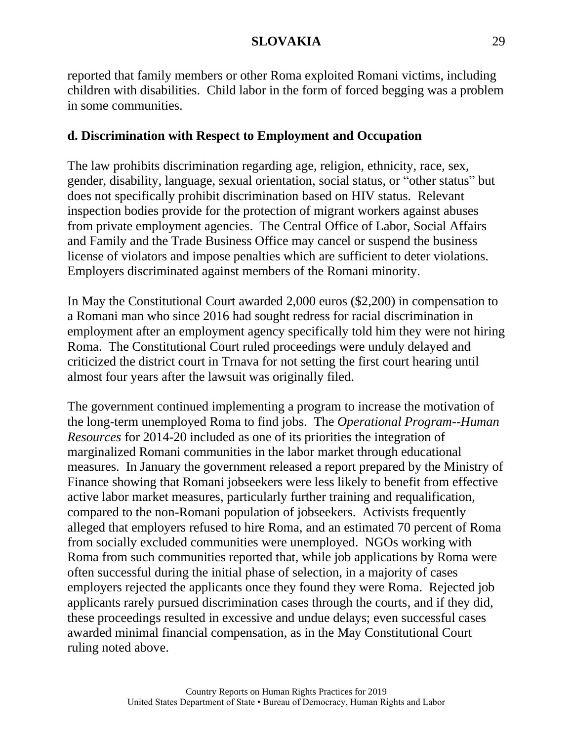reported that family members or other Roma exploited Romani victims, including children with disabilities. Child labor in the form of forced begging was a problem in some communities.

# **d. Discrimination with Respect to Employment and Occupation**

The law prohibits discrimination regarding age, religion, ethnicity, race, sex, gender, disability, language, sexual orientation, social status, or "other status" but does not specifically prohibit discrimination based on HIV status. Relevant inspection bodies provide for the protection of migrant workers against abuses from private employment agencies. The Central Office of Labor, Social Affairs and Family and the Trade Business Office may cancel or suspend the business license of violators and impose penalties which are sufficient to deter violations. Employers discriminated against members of the Romani minority.

In May the Constitutional Court awarded 2,000 euros (\$2,200) in compensation to a Romani man who since 2016 had sought redress for racial discrimination in employment after an employment agency specifically told him they were not hiring Roma. The Constitutional Court ruled proceedings were unduly delayed and criticized the district court in Trnava for not setting the first court hearing until almost four years after the lawsuit was originally filed.

The government continued implementing a program to increase the motivation of the long-term unemployed Roma to find jobs. The *Operational Program--Human Resources* for 2014-20 included as one of its priorities the integration of marginalized Romani communities in the labor market through educational measures. In January the government released a report prepared by the Ministry of Finance showing that Romani jobseekers were less likely to benefit from effective active labor market measures, particularly further training and requalification, compared to the non-Romani population of jobseekers. Activists frequently alleged that employers refused to hire Roma, and an estimated 70 percent of Roma from socially excluded communities were unemployed. NGOs working with Roma from such communities reported that, while job applications by Roma were often successful during the initial phase of selection, in a majority of cases employers rejected the applicants once they found they were Roma. Rejected job applicants rarely pursued discrimination cases through the courts, and if they did, these proceedings resulted in excessive and undue delays; even successful cases awarded minimal financial compensation, as in the May Constitutional Court ruling noted above.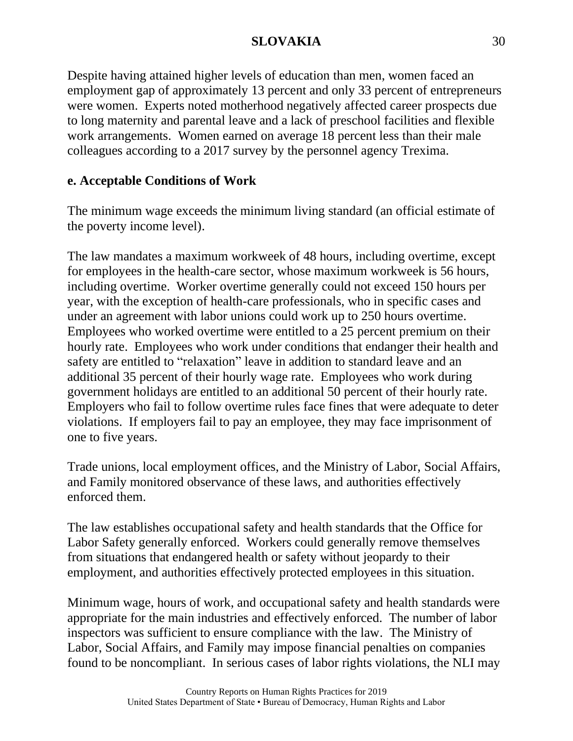Despite having attained higher levels of education than men, women faced an employment gap of approximately 13 percent and only 33 percent of entrepreneurs were women. Experts noted motherhood negatively affected career prospects due to long maternity and parental leave and a lack of preschool facilities and flexible work arrangements. Women earned on average 18 percent less than their male colleagues according to a 2017 survey by the personnel agency Trexima.

# **e. Acceptable Conditions of Work**

The minimum wage exceeds the minimum living standard (an official estimate of the poverty income level).

The law mandates a maximum workweek of 48 hours, including overtime, except for employees in the health-care sector, whose maximum workweek is 56 hours, including overtime. Worker overtime generally could not exceed 150 hours per year, with the exception of health-care professionals, who in specific cases and under an agreement with labor unions could work up to 250 hours overtime. Employees who worked overtime were entitled to a 25 percent premium on their hourly rate. Employees who work under conditions that endanger their health and safety are entitled to "relaxation" leave in addition to standard leave and an additional 35 percent of their hourly wage rate. Employees who work during government holidays are entitled to an additional 50 percent of their hourly rate. Employers who fail to follow overtime rules face fines that were adequate to deter violations. If employers fail to pay an employee, they may face imprisonment of one to five years.

Trade unions, local employment offices, and the Ministry of Labor, Social Affairs, and Family monitored observance of these laws, and authorities effectively enforced them.

The law establishes occupational safety and health standards that the Office for Labor Safety generally enforced. Workers could generally remove themselves from situations that endangered health or safety without jeopardy to their employment, and authorities effectively protected employees in this situation.

Minimum wage, hours of work, and occupational safety and health standards were appropriate for the main industries and effectively enforced. The number of labor inspectors was sufficient to ensure compliance with the law. The Ministry of Labor, Social Affairs, and Family may impose financial penalties on companies found to be noncompliant. In serious cases of labor rights violations, the NLI may